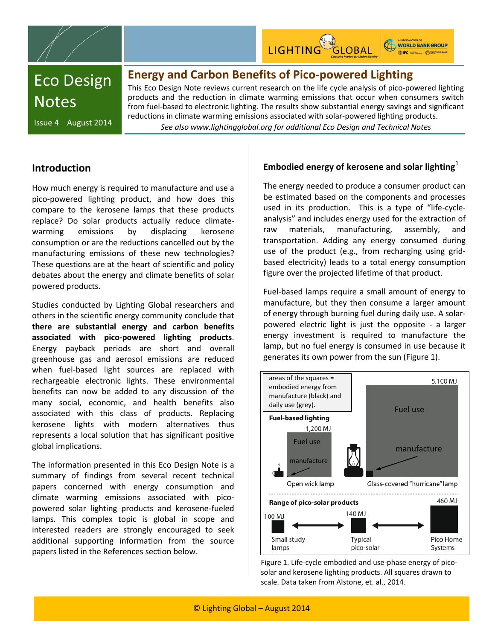



WORLD BANK GROUP **ONIFC INTERNATIONAL ORDINATION** 

# Eco Design **Notes**

### **Energy and Carbon Benefits of Pico-powered Lighting**

This Eco Design Note reviews current research on the life cycle analysis of pico-powered lighting products and the reduction in climate warming emissions that occur when consumers switch from fuel-based to electronic lighting. The results show substantial energy savings and significant reductions in climate warming emissions associated with solar-powered lighting products.

Issue 4 August 2014

*See also www.lightingglobal.org for additional Eco Design and Technical Notes*

### **Introduction**

How much energy is required to manufacture and use a pico-powered lighting product, and how does this compare to the kerosene lamps that these products replace? Do solar products actually reduce climatewarming emissions by displacing kerosene consumption or are the reductions cancelled out by the manufacturing emissions of these new technologies? These questions are at the heart of scientific and policy debates about the energy and climate benefits of solar powered products.

Studies conducted by Lighting Global researchers and others in the scientific energy community conclude that **there are substantial energy and carbon benefits associated with pico-powered lighting products**. Energy payback periods are short and overall greenhouse gas and aerosol emissions are reduced when fuel-based light sources are replaced with rechargeable electronic lights. These environmental benefits can now be added to any discussion of the many social, economic, and health benefits also associated with this class of products. Replacing kerosene lights with modern alternatives thus represents a local solution that has significant positive global implications.

The information presented in this Eco Design Note is a summary of findings from several recent technical papers concerned with energy consumption and climate warming emissions associated with picopowered solar lighting products and kerosene-fueled lamps. This complex topic is global in scope and interested readers are strongly encouraged to seek additional supporting information from the source papers listed in the References section below.

### **Embodied energy of kerosene and solar lighting**

The energy needed to produce a consumer product can be estimated based on the components and processes used in its production. This is a type of "life-cycleanalysis" and includes energy used for the extraction of raw materials, manufacturing, assembly, and transportation. Adding any energy consumed during use of the product (e.g., from recharging using gridbased electricity) leads to a total energy consumption figure over the projected lifetime of that product.

Fuel-based lamps require a small amount of energy to manufacture, but they then consume a larger amount of energy through burning fuel during daily use. A solarpowered electric light is just the opposite - a larger energy investment is required to manufacture the lamp, but no fuel energy is consumed in use because it generates its own power from the sun (Figure 1).



Figure 1. Life-cycle embodied and use-phase energy of picosolar and kerosene lighting products. All squares drawn to scale. Data taken from Alstone, et. al., 2014.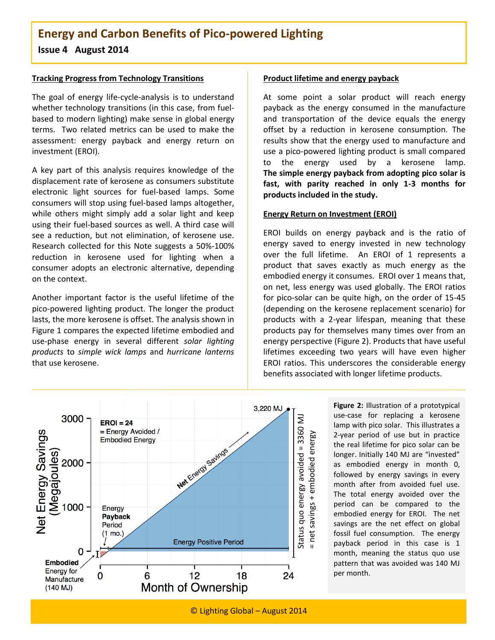#### **Tracking Progress from Technology Transitions**

The goal of energy life-cycle-analysis is to understand whether technology transitions (in this case, from fuelbased to modern lighting) make sense in global energy terms. Two related metrics can be used to make the assessment: energy payback and energy return on investment (EROI).

A key part of this analysis requires knowledge of the displacement rate of kerosene as consumers substitute electronic light sources for fuel-based lamps. Some consumers will stop using fuel-based lamps altogether, while others might simply add a solar light and keep using their fuel-based sources as well. A third case will see a reduction, but not elimination, of kerosene use. Research collected for this Note suggests a 50%-100% reduction in kerosene used for lighting when a consumer adopts an electronic alternative, depending on the context.

Another important factor is the useful lifetime of the pico-powered lighting product. The longer the product lasts, the more kerosene is offset. The analysis shown in Figure 1 compares the expected lifetime embodied and use-phase energy in several different *solar lighting products* to *simple wick lamps* and *hurricane lanterns* that use kerosene.

#### **Product lifetime and energy payback**

At some point a solar product will reach energy payback as the energy consumed in the manufacture and transportation of the device equals the energy offset by a reduction in kerosene consumption. The results show that the energy used to manufacture and use a pico-powered lighting product is small compared to the energy used by a kerosene lamp. **The simple energy payback from adopting pico solar is fast, with parity reached in only 1-3 months for products included in the study.**

#### **Energy Return on Investment (EROI)**

EROI builds on energy payback and is the ratio of energy saved to energy invested in new technology over the full lifetime. An EROI of 1 represents a product that saves exactly as much energy as the embodied energy it consumes. EROI over 1 means that, on net, less energy was used globally. The EROI ratios for pico-solar can be quite high, on the order of 15-45 (depending on the kerosene replacement scenario) for products with a 2-year lifespan, meaning that these products pay for themselves many times over from an energy perspective (Figure 2). Products that have useful lifetimes exceeding two years will have even higher EROI ratios. This underscores the considerable energy benefits associated with longer lifetime products.



**Figure 2:** Illustration of a prototypical use-case for replacing a kerosene lamp with pico solar. This illustrates a 2-year period of use but in practice the real lifetime for pico solar can be longer. Initially 140 MJ are "invested" as embodied energy in month 0, followed by energy savings in every month after from avoided fuel use. The total energy avoided over the period can be compared to the embodied energy for EROI. The net savings are the net effect on global fossil fuel consumption. The energy payback period in this case is 1 month, meaning the status quo use pattern that was avoided was 140 MJ per month.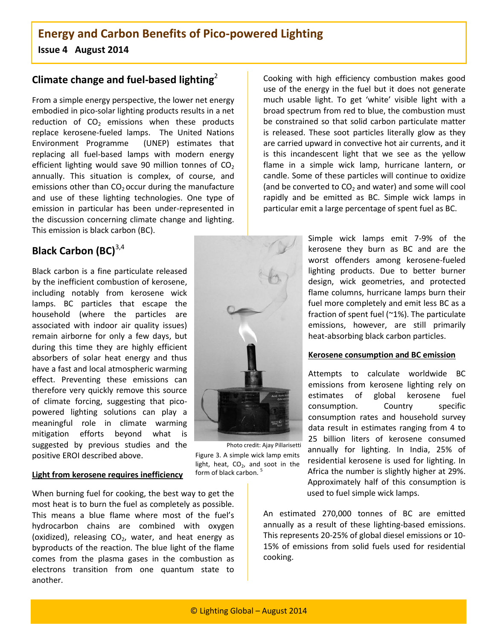### **Climate change and fuel-based lighting**<sup>2</sup>

From a simple energy perspective, the lower net energy embodied in pico-solar lighting products results in a net reduction of  $CO<sub>2</sub>$  emissions when these products replace kerosene-fueled lamps. The United Nations Environment Programme (UNEP) estimates that replacing all fuel-based lamps with modern energy efficient lighting would save 90 million tonnes of  $CO<sub>2</sub>$ annually. This situation is complex, of course, and emissions other than  $CO<sub>2</sub>$  occur during the manufacture and use of these lighting technologies. One type of emission in particular has been under-represented in the discussion concerning climate change and lighting. This emission is black carbon (BC).

### **Black Carbon (BC)**<sup>3,4</sup>

Black carbon is a fine particulate released by the inefficient combustion of kerosene, including notably from kerosene wick lamps. BC particles that escape the household (where the particles are associated with indoor air quality issues) remain airborne for only a few days, but during this time they are highly efficient absorbers of solar heat energy and thus have a fast and local atmospheric warming effect. Preventing these emissions can therefore very quickly remove this source of climate forcing, suggesting that picopowered lighting solutions can play a meaningful role in climate warming mitigation efforts beyond what is suggested by previous studies and the positive EROI described above.



Figure 3. A simple wick lamp emits light, heat,  $CO<sub>2</sub>$ , and soot in the form of black carbon.<sup>5</sup> Photo credit: Ajay Pillarisetti

### **Light from kerosene requires inefficiency**

When burning fuel for cooking, the best way to get the most heat is to burn the fuel as completely as possible. This means a blue flame where most of the fuel's hydrocarbon chains are combined with oxygen (oxidized), releasing  $CO<sub>2</sub>$ , water, and heat energy as byproducts of the reaction. The blue light of the flame comes from the plasma gases in the combustion as electrons transition from one quantum state to another.

Cooking with high efficiency combustion makes good use of the energy in the fuel but it does not generate much usable light. To get 'white' visible light with a broad spectrum from red to blue, the combustion must be constrained so that solid carbon particulate matter is released. These soot particles literally glow as they are carried upward in convective hot air currents, and it is this incandescent light that we see as the yellow flame in a simple wick lamp, hurricane lantern, or candle. Some of these particles will continue to oxidize (and be converted to  $CO<sub>2</sub>$  and water) and some will cool rapidly and be emitted as BC. Simple wick lamps in particular emit a large percentage of spent fuel as BC.

> Simple wick lamps emit 7-9% of the kerosene they burn as BC and are the worst offenders among kerosene-fueled lighting products. Due to better burner design, wick geometries, and protected flame columns, hurricane lamps burn their fuel more completely and emit less BC as a fraction of spent fuel (~1%). The particulate emissions, however, are still primarily heat-absorbing black carbon particles.

#### **Kerosene consumption and BC emission**

Attempts to calculate worldwide BC emissions from kerosene lighting rely on estimates of global kerosene fuel consumption. Country specific consumption rates and household survey data result in estimates ranging from 4 to 25 billion liters of kerosene consumed annually for lighting. In India, 25% of residential kerosene is used for lighting. In Africa the number is slightly higher at 29%. Approximately half of this consumption is used to fuel simple wick lamps.

An estimated 270,000 tonnes of BC are emitted annually as a result of these lighting-based emissions. This represents 20-25% of global diesel emissions or 10- 15% of emissions from solid fuels used for residential cooking.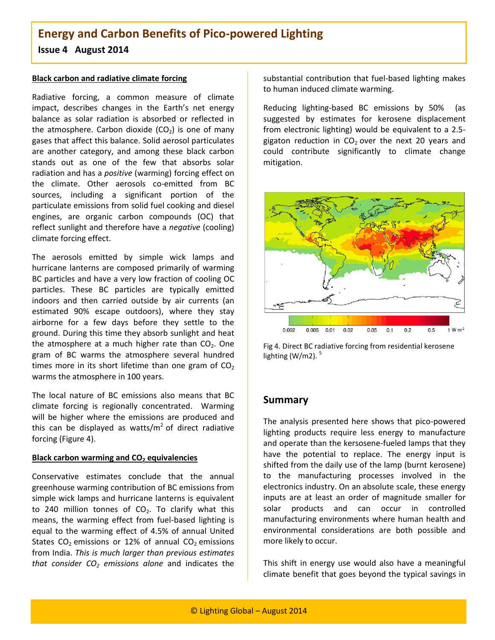#### **Black carbon and radiative climate forcing**

Radiative forcing, a common measure of climate impact, describes changes in the Earth's net energy balance as solar radiation is absorbed or reflected in the atmosphere. Carbon dioxide  $(CO<sub>2</sub>)$  is one of many gases that affect this balance. Solid aerosol particulates are another category, and among these black carbon stands out as one of the few that absorbs solar radiation and has a *positive* (warming) forcing effect on the climate. Other aerosols co-emitted from BC sources, including a significant portion of the particulate emissions from solid fuel cooking and diesel engines, are organic carbon compounds (OC) that reflect sunlight and therefore have a *negative* (cooling) climate forcing effect.

The aerosols emitted by simple wick lamps and hurricane lanterns are composed primarily of warming BC particles and have a very low fraction of cooling OC particles. These BC particles are typically emitted indoors and then carried outside by air currents (an estimated 90% escape outdoors), where they stay airborne for a few days before they settle to the ground. During this time they absorb sunlight and heat the atmosphere at a much higher rate than  $CO<sub>2</sub>$ . One gram of BC warms the atmosphere several hundred times more in its short lifetime than one gram of  $CO<sub>2</sub>$ warms the atmosphere in 100 years.

The local nature of BC emissions also means that BC climate forcing is regionally concentrated. Warming will be higher where the emissions are produced and this can be displayed as watts/ $m^2$  of direct radiative forcing (Figure 4).

### **Black carbon warming and CO<sup>2</sup> equivalencies**

Conservative estimates conclude that the annual greenhouse warming contribution of BC emissions from simple wick lamps and hurricane lanterns is equivalent to 240 million tonnes of  $CO<sub>2</sub>$ . To clarify what this means, the warming effect from fuel-based lighting is equal to the warming effect of 4.5% of annual United States  $CO<sub>2</sub>$  emissions or 12% of annual  $CO<sub>2</sub>$  emissions from India. *This is much larger than previous estimates that consider CO<sup>2</sup> emissions alone* and indicates the

substantial contribution that fuel-based lighting makes to human induced climate warming.

Reducing lighting-based BC emissions by 50% (as suggested by estimates for kerosene displacement from electronic lighting) would be equivalent to a 2.5 gigaton reduction in  $CO<sub>2</sub>$  over the next 20 years and could contribute significantly to climate change mitigation.



Fig 4. Direct BC radiative forcing from residential kerosene lighting (W/m2). $5$ 

### **Summary**

The analysis presented here shows that pico-powered lighting products require less energy to manufacture and operate than the kersosene-fueled lamps that they have the potential to replace. The energy input is shifted from the daily use of the lamp (burnt kerosene) to the manufacturing processes involved in the electronics industry. On an absolute scale, these energy inputs are at least an order of magnitude smaller for solar products and can occur in controlled manufacturing environments where human health and environmental considerations are both possible and more likely to occur.

This shift in energy use would also have a meaningful climate benefit that goes beyond the typical savings in